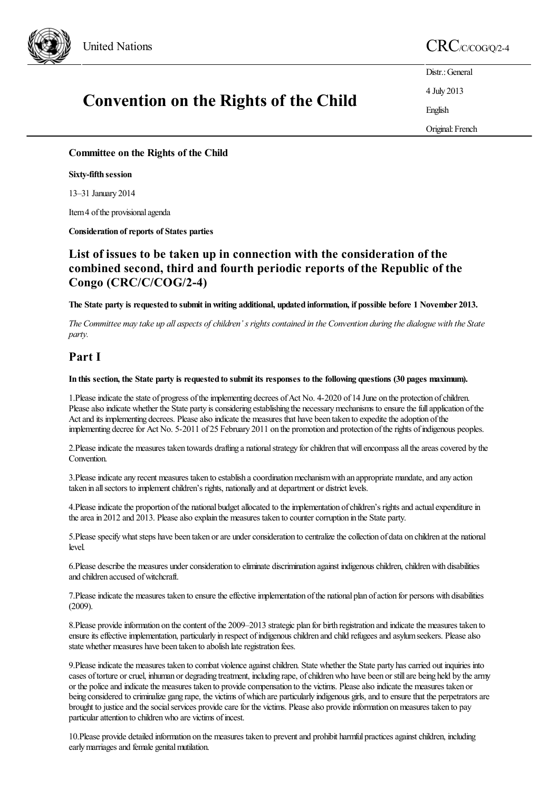

# **Convention on the Rights of the Child**

United Nations CRC/C/COG/Q/2-4

Distr.: General 4 July 2013 English Original: French

**Committee on the Rights of the Child**

**Sixty-fifth session**

13–31 January 2014

Item 4 of the provisional agenda

**Consideration** of reports of States parties

# **List of issues to be taken up in connection with the consideration of the combined second, third and fourth periodic reports of the Republic of the Congo (CRC/C/COG/2-4)**

The State party is requested to submit in writing additional, updated information, if possible before 1 November 2013.

The Committee may take up all aspects of children's rights contained in the Convention during the dialogue with the State *party.*

# **Part I**

#### In this section, the State party is requested to submit its responses to the following questions (30 pages maximum).

1. Please indicate the state of progress of the implementing decrees of Act No. 4-2020 of 14 June on the protection of children. Please also indicate whether the State party is considering establishing the necessary mechanisms to ensure the full application of the Act and its implementing decrees. Please also indicate the measures that have been taken to expedite the adoption of the implementing decree for Act No. 5-2011 of 25 February 2011 on the promotion and protection of the rights of indigenous peoples.

2. Please indicate the measures taken towards drafting a national strategy for children that will encompass all the areas covered by the Convention.

3. Please indicate any recent measures taken to establish a coordination mechanism with an appropriate mandate, and any action taken in all sectors to implement children's rights, nationally and at department or district levels.

4. Please indicate the proportion of the national budget allocated to the implementation of children's rights and actual expenditure in the area in 2012 and 2013. Please also explain the measures taken to counter corruption in the State party.

5. Please specify what steps have been taken or are under consideration to centralize the collection of data on children at the national level.

6. Please describe the measures under consideration to eliminate discrimination against indigenous children, children with disabilities and children accused of witchcraft.

7. Please indicate the measures taken to ensure the effective implementation of the national plan of action for persons with disabilities (2009).

8. Please provide information on the content of the 2009–2013 strategic plan for birth registration and indicate the measures taken to ensure its effective implementation, particularly in respect of indigenous children and child refugees and asylum seekers. Please also state whether measures have been taken to abolish late registration fees.

9. Please indicate the measures taken to combat violence against children. State whether the State party has carried out inquiries into cases of torture or cruel, inhuman or degrading treatment, including rape, of children who have been or still are being held by the army or the police and indicate the measures taken to provide compensation to the victims. Please also indicate the measures taken or being considered to criminalize gang rape, the victims of which are particularly indigenous girls, and to ensure that the perpetrators are brought to justice and the social services provide care for the victims. Please also provide information on measures taken to pay particular attention to children who are victims of incest.

10. Please provide detailed information on the measures taken to prevent and prohibit harmful practices against children, including early marriages and female genital mutilation.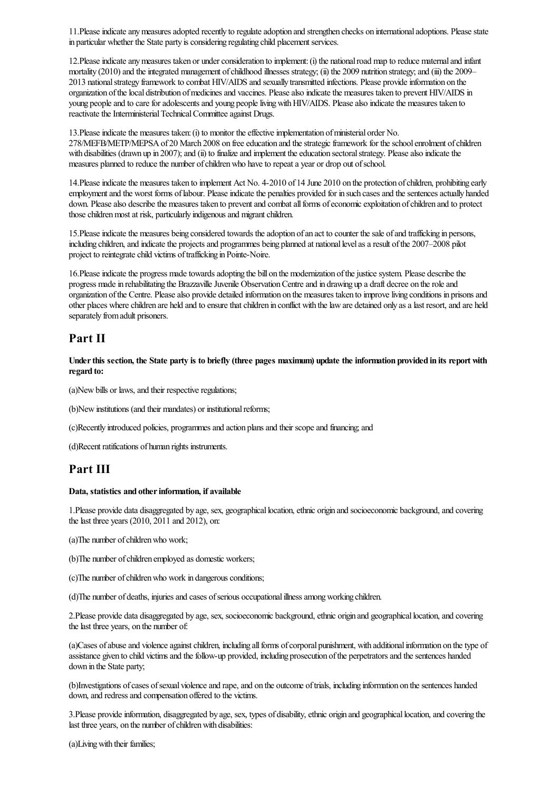11. Please indicate any measures adopted recently to regulate adoption and strengthen checks on international adoptions. Please state in particular whether the State party is considering regulating child placement services.

12. Please indicate any measures taken or under consideration to implement: (i) the national road map to reduce maternal and infant mortality (2010) and the integrated management of childhood illnesses strategy; (ii) the 2009 nutrition strategy; and (iii) the 2009– 2013 nationalstrategy framework to combat HIV/AIDS and sexually transmitted infections. Please provideinformation on the organization of the local distribution of medicines and vaccines. Please also indicate the measures taken to prevent HIV/AIDS in young people and to care for adolescents and young people living with HIV/AIDS. Please also indicate the measures taken to reactivate the Interministerial Technical Committee against Drugs.

13. Please indicate the measures taken: (i) to monitor the effective implementation of ministerial order No. 278/MEFB/METP/MEPSA of 20 March 2008 on free education and the strategic framework for the school enrolment of children with disabilities (drawn up in 2007); and (ii) to finalize and implement the education sectoral strategy. Please also indicate the measures planned to reduce the number of children who have to repeat a year or drop out of school.

14. Please indicate the measures taken to implement Act No. 4-2010 of 14 June 2010 on the protection of children, prohibiting early employment and the worst forms of labour. Please indicate the penalties provided for in such cases and the sentences actually handed down. Please also describe the measures taken to prevent and combat all forms of economic exploitation of children and to protect those children most at risk, particularly indigenous and migrant children.

15. Please indicate the measures being considered towards the adoption of an act to counter the sale of and trafficking in persons, including children, and indicate the projects and programmes being planned at national level as a result of the 2007–2008 pilot project to reintegrate child victims of trafficking in Pointe-Noire.

16. Please indicate the progress made towards adopting the bill on the modernization of the justice system. Please describe the progress made in rehabilitating the Brazzaville Juvenile Observation Centre and in drawing up a draft decree on the role and organization ofthe Centre. Pleasealso provide detailed information on the measures taken to improveliving conditions in prisonsand other places where children are held and to ensure that children in conflict with the law are detained only as a last resort, and are held separately fromadult prisoners.

### **Part II**

Under this section, the State party is to briefly (three pages maximum) update the information provided in its report with **regard to:**

(a)New bills or laws, and their respective regulations;

(b)New institutions (and their mandates) or institutional reforms;

(c)Recently introduced policies, programmesand action plansand their scopeand financing;and

(d)Recent ratifications of human rights instruments.

# **Part III**

#### **Data, statistics and otherinformation, if available**

1. Please provide data disaggregated by age, sex, geographical location, ethnic origin and socioeconomic background, and covering thelast three years (2010, 2011 and 2012), on:

(a)The number of children who work;

(b)The number of children employed as domestic workers;

(c) The number of children who work in dangerous conditions;

(d)The number of deaths, injuriesand cases ofserious occupationalillnessamongworking children.

2. Please provide data disaggregated by age, sex, socioeconomic background, ethnic origin and geographical location, and covering the last three years, on the number of:

(a)Cases of abuse and violence against children, including all forms of corporal punishment, with additional information on the type of assistance given to child victims and the follow-up provided, including prosecution of the perpetrators and the sentences handed down in the State party;

(b)Investigations of cases of sexual violence and rape, and on the outcome of trials, including information on the sentences handed down, and redress and compensation offered to the victims.

3. Please provide information, disaggregated by age, sex, types of disability, ethnic origin and geographical location, and covering the last three years, on the number of children with disabilities:

(a)Living with their families;